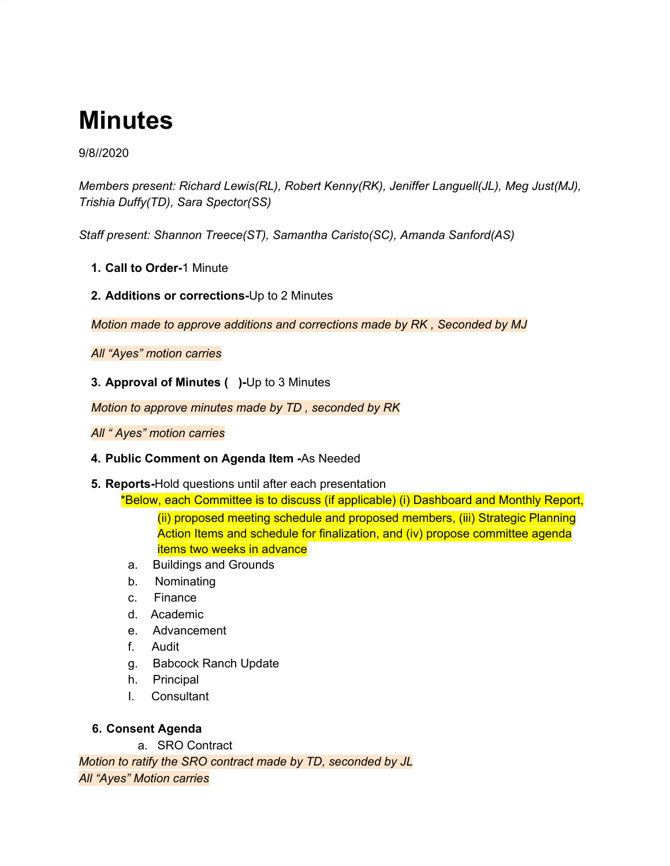# **Minutes**

#### 9/8//2020

*Members present: Richard Lewis(RL), Robert Kenny(RK), Jeniffer Languell(JL), Meg Just(MJ), Trishia Duffy(TD), Sara Spector(SS)*

*Staff present: Shannon Treece(ST), Samantha Caristo(SC), Amanda Sanford(AS)*

- **1. Call to Order-**1 Minute
- **2. Additions or corrections-**Up to 2 Minutes

*Motion made to approve additions and corrections made by RK , Seconded by MJ*

*All "Ayes" motion carries*

**3. Approval of Minutes ( )-**Up to 3 Minutes

*Motion to approve minutes made by TD , seconded by RK*

*All " Ayes" motion carries*

- **4. Public Comment on Agenda Item -**As Needed
- **5. Reports-**Hold questions until after each presentation

\*Below, each Committee is to discuss (if applicable) (i) Dashboard and Monthly Report,

(ii) proposed meeting schedule and proposed members, (iii) Strategic Planning Action Items and schedule for finalization, and (iv) propose committee agenda items two weeks in advance

- a. Buildings and Grounds
- b. Nominating
- c. Finance
- d. Academic
- e. Advancement
- f. Audit
- g. Babcock Ranch Update
- h. Principal
- I. Consultant

#### **6. Consent Agenda**

a. SRO Contract

*Motion to ratify the SRO contract made by TD, seconded by JL All "Ayes" Motion carries*